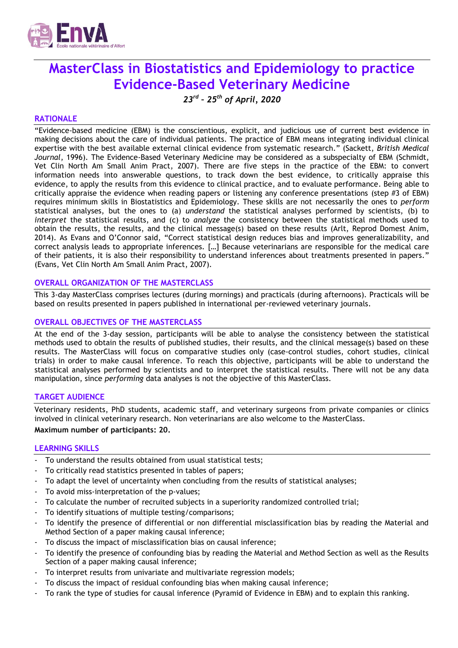

# **MasterClass in Biostatistics and Epidemiology to practice Evidence-Based Veterinary Medicine**

*23rd – 25th of April, 2020*

#### **RATIONALE**

"Evidence-based medicine (EBM) is the conscientious, explicit, and judicious use of current best evidence in making decisions about the care of individual patients. The practice of EBM means integrating individual clinical expertise with the best available external clinical evidence from systematic research." (Sackett, *British Medical Journal*, 1996). The Evidence-Based Veterinary Medicine may be considered as a subspecialty of EBM (Schmidt, Vet Clin North Am Small Anim Pract, 2007). There are five steps in the practice of the EBM: to convert information needs into answerable questions, to track down the best evidence, to critically appraise this evidence, to apply the results from this evidence to clinical practice, and to evaluate performance. Being able to critically appraise the evidence when reading papers or listening any conference presentations (step #3 of EBM) requires minimum skills in Biostatistics and Epidemiology. These skills are not necessarily the ones to *perform* statistical analyses, but the ones to (a) *understand* the statistical analyses performed by scientists, (b) to *interpret* the statistical results, and (c) to *analyze* the consistency between the statistical methods used to obtain the results, the results, and the clinical message(s) based on these results (Arlt, Reprod Domest Anim, 2014). As Evans and O'Connor said, "Correct statistical design reduces bias and improves generalizability, and correct analysis leads to appropriate inferences. […] Because veterinarians are responsible for the medical care of their patients, it is also their responsibility to understand inferences about treatments presented in papers." (Evans, Vet Clin North Am Small Anim Pract, 2007).

#### **OVERALL ORGANIZATION OF THE MASTERCLASS**

This 3-day MasterClass comprises lectures (during mornings) and practicals (during afternoons). Practicals will be based on results presented in papers published in international per-reviewed veterinary journals.

#### **OVERALL OBJECTIVES OF THE MASTERCLASS**

At the end of the 3-day session, participants will be able to analyse the consistency between the statistical methods used to obtain the results of published studies, their results, and the clinical message(s) based on these results. The MasterClass will focus on comparative studies only (case-control studies, cohort studies, clinical trials) in order to make causal inference. To reach this objective, participants will be able to understand the statistical analyses performed by scientists and to interpret the statistical results. There will not be any data manipulation, since *performing* data analyses is not the objective of this MasterClass.

#### **TARGET AUDIENCE**

Veterinary residents, PhD students, academic staff, and veterinary surgeons from private companies or clinics involved in clinical veterinary research. Non veterinarians are also welcome to the MasterClass.

#### **Maximum number of participants: 20.**

#### **LEARNING SKILLS**

- To understand the results obtained from usual statistical tests:
- To critically read statistics presented in tables of papers;
- To adapt the level of uncertainty when concluding from the results of statistical analyses;
- To avoid miss-interpretation of the p-values;
- To calculate the number of recruited subjects in a superiority randomized controlled trial;
- To identify situations of multiple testing/comparisons;
- To identify the presence of differential or non differential misclassification bias by reading the Material and Method Section of a paper making causal inference;
- To discuss the impact of misclassification bias on causal inference;
- To identify the presence of confounding bias by reading the Material and Method Section as well as the Results Section of a paper making causal inference;
- To interpret results from univariate and multivariate regression models;
- To discuss the impact of residual confounding bias when making causal inference;
- To rank the type of studies for causal inference (Pyramid of Evidence in EBM) and to explain this ranking.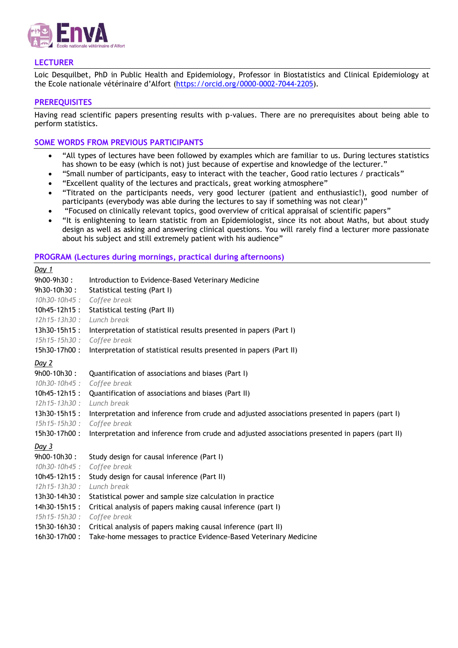

# **LECTURER**

Loic Desquilbet, PhD in Public Health and Epidemiology, Professor in Biostatistics and Clinical Epidemiology at the Ecole nationale vétérinaire d'Alfort [\(https://orcid.org/0000-0002-7044-2205\)](https://orcid.org/0000-0002-7044-2205).

## **PREREQUISITES**

Having read scientific papers presenting results with p-values. There are no prerequisites about being able to perform statistics.

## **SOME WORDS FROM PREVIOUS PARTICIPANTS**

- "All types of lectures have been followed by examples which are familiar to us. During lectures statistics has shown to be easy (which is not) just because of expertise and knowledge of the lecturer."
- "Small number of participants, easy to interact with the teacher, Good ratio lectures / practicals"
- "Excellent quality of the lectures and practicals, great working atmosphere"
- "Titrated on the participants needs, very good lecturer (patient and enthusiastic!), good number of participants (everybody was able during the lectures to say if something was not clear)"
- "Focused on clinically relevant topics, good overview of critical appraisal of scientific papers"
- "It is enlightening to learn statistic from an Epidemiologist, since its not about Maths, but about study design as well as asking and answering clinical questions. You will rarely find a lecturer more passionate about his subject and still extremely patient with his audience"

#### **PROGRAM (Lectures during mornings, practical during afternoons)**

| Day 1             |                                                                                                 |
|-------------------|-------------------------------------------------------------------------------------------------|
| 9h00-9h30:        | Introduction to Evidence-Based Veterinary Medicine                                              |
| 9h30-10h30:       | Statistical testing (Part I)                                                                    |
| 10h30-10h45:      | Coffee break                                                                                    |
| $10h45 - 12h15$ : | Statistical testing (Part II)                                                                   |
| $12h15 - 13h30:$  | Lunch break                                                                                     |
| $13h30-15h15:$    | Interpretation of statistical results presented in papers (Part I)                              |
| $15h15 - 15h30$ : | Coffee break                                                                                    |
| 15h30-17h00:      | Interpretation of statistical results presented in papers (Part II)                             |
| Day 2             |                                                                                                 |
| 9h00-10h30:       | Quantification of associations and biases (Part I)                                              |
| 10h30-10h45:      | Coffee break                                                                                    |
| 10h45-12h15:      | Quantification of associations and biases (Part II)                                             |
| $12h15 - 13h30$ : | Lunch break                                                                                     |
| 13h30-15h15:      | Interpretation and inference from crude and adjusted associations presented in papers (part I)  |
| 15h15-15h30:      | Coffee break                                                                                    |
| 15h30-17h00:      | Interpretation and inference from crude and adjusted associations presented in papers (part II) |
| Day 3             |                                                                                                 |
| 9h00-10h30:       | Study design for causal inference (Part I)                                                      |
| 10h30-10h45:      | Coffee break                                                                                    |
| $10h45-12h15:$    | Study design for causal inference (Part II)                                                     |
| $12h15 - 13h30$ : | Lunch break                                                                                     |
| 13h30-14h30:      | Statistical power and sample size calculation in practice                                       |
| 14h30-15h15:      | Critical analysis of papers making causal inference (part I)                                    |
| $15h15 - 15h30$ : | Coffee break                                                                                    |
| 15h30-16h30:      | Critical analysis of papers making causal inference (part II)                                   |
| 16h30-17h00:      | Take-home messages to practice Evidence-Based Veterinary Medicine                               |